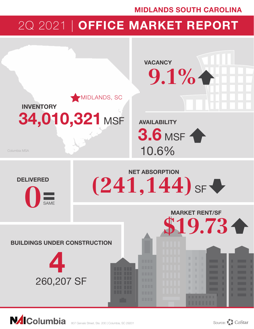## MIDLANDS SOUTH CAROLINA

# 2Q 2021 | OFFICE MARKET REPORT



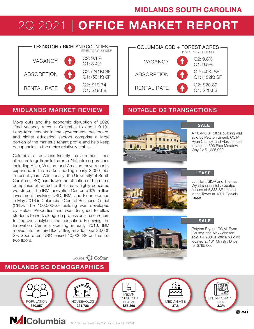## MIDLANDS SOUTH CAROLINA

# 2Q 2021 | OFFICE MARKET REPORT



## MIDLANDS MARKET REVIEW NOTABLE Q2 TRANSACTIONS

Move outs and the economic disruption of 2020 lifted vacancy rates in Columbia to about 9.1%. Long-term tenants in the government, healthcare, and higher education sectors comprise a large portion of the market's tenant profile and help keep occupancies in the metro relatively stable.

Columbia's business-friendly environment has attracted large firms to the area. Notable corporations including Aflac, Verizon, and Amazon, have recently expanded in the market, adding nearly 3,000 jobs in recent years. Additionally, the University of South Carolina (USC) has drawn the attention of big name companies attracted to the area's highly educated workforce. The IBM Innovation Center, a \$25 million investment involving USC, IBM, and Fluor, opened in May 2016 in Columbia's Central Business District (CBD). The 100,000-SF building was developed by Holder Properties and was designed to allow students to work alongside professional researchers to improve analytics and education. Following the Innovation Center's opening in early 2016, IBM moved into the third floor, filling an additional 20,000 SF. Soon after, USC leased 40,000 SF on the first two floors.

MIDLANDS SC DEMOGRAPHICS





SALE

A 10,440 SF office building was sold by Petyton Bryant, CCIM, Ryan Causey, and Alex Johnson located at 300 Rice Meadow Way for \$1,225,000



## **LEASE**

Jeff Hein, SIOR and Thomas Wyatt successfully excuted a lease of 8,338 SF located in the Tower at 1301 Gervais Street



SALE

Petyton Bryant, CCIM, Ryan Causey, and Alex Johnson sold a 4,900 SF office building located at 131 Ministry Drive for \$795,000



Source: CoStar